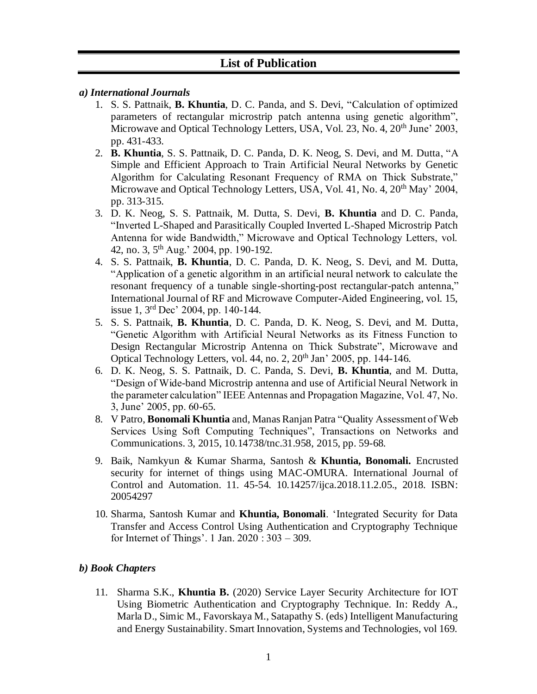## **List of Publication**

- *a) International Journals*
	- 1. S. S. Pattnaik, **B. Khuntia**, D. C. Panda, and S. Devi, "Calculation of optimized parameters of rectangular microstrip patch antenna using genetic algorithm", Microwave and Optical Technology Letters, USA, Vol. 23, No. 4, 20<sup>th</sup> June' 2003, pp. 431-433.
	- 2. **B. Khuntia**, S. S. Pattnaik, D. C. Panda, D. K. Neog, S. Devi, and M. Dutta, "A Simple and Efficient Approach to Train Artificial Neural Networks by Genetic Algorithm for Calculating Resonant Frequency of RMA on Thick Substrate," Microwave and Optical Technology Letters, USA, Vol. 41, No. 4, 20<sup>th</sup> May' 2004, pp. 313-315.
	- 3. D. K. Neog, S. S. Pattnaik, M. Dutta, S. Devi, **B. Khuntia** and D. C. Panda, "Inverted L-Shaped and Parasitically Coupled Inverted L-Shaped Microstrip Patch Antenna for wide Bandwidth," Microwave and Optical Technology Letters, vol. 42, no. 3, 5th Aug.' 2004, pp. 190-192.
	- 4. S. S. Pattnaik, **B. Khuntia**, D. C. Panda, D. K. Neog, S. Devi, and M. Dutta, "Application of a genetic algorithm in an artificial neural network to calculate the resonant frequency of a tunable single-shorting-post rectangular-patch antenna," International Journal of RF and Microwave Computer-Aided Engineering, vol. 15, issue 1, 3rd Dec' 2004, pp. 140-144.
	- 5. S. S. Pattnaik, **B. Khuntia**, D. C. Panda, D. K. Neog, S. Devi, and M. Dutta, "Genetic Algorithm with Artificial Neural Networks as its Fitness Function to Design Rectangular Microstrip Antenna on Thick Substrate", Microwave and Optical Technology Letters, vol. 44, no. 2, 20<sup>th</sup> Jan' 2005, pp. 144-146.
	- 6. D. K. Neog, S. S. Pattnaik, D. C. Panda, S. Devi, **B. Khuntia**, and M. Dutta, "Design of Wide-band Microstrip antenna and use of Artificial Neural Network in the parameter calculation" IEEE Antennas and Propagation Magazine, Vol. 47, No. 3, June' 2005, pp. 60-65.
	- 8. V Patro, **Bonomali Khuntia** and, Manas Ranjan Patra "Quality Assessment of Web Services Using Soft Computing Techniques", Transactions on Networks and Communications. 3, 2015, 10.14738/tnc.31.958, 2015, pp. 59-68.
	- 9. Baik, Namkyun & Kumar Sharma, Santosh & **Khuntia, Bonomali.** Encrusted security for internet of things using MAC-OMURA. International Journal of Control and Automation. 11. 45-54. 10.14257/ijca.2018.11.2.05., 2018. ISBN: 20054297
	- 10. Sharma, Santosh Kumar and **Khuntia, Bonomali**. 'Integrated Security for Data Transfer and Access Control Using Authentication and Cryptography Technique for Internet of Things'. 1 Jan. 2020 : 303 – 309.

## *b) Book Chapters*

11. Sharma S.K., **Khuntia B.** (2020) Service Layer Security Architecture for IOT Using Biometric Authentication and Cryptography Technique. In: Reddy A., Marla D., Simic M., Favorskaya M., Satapathy S. (eds) Intelligent Manufacturing and Energy Sustainability. Smart Innovation, Systems and Technologies, vol 169.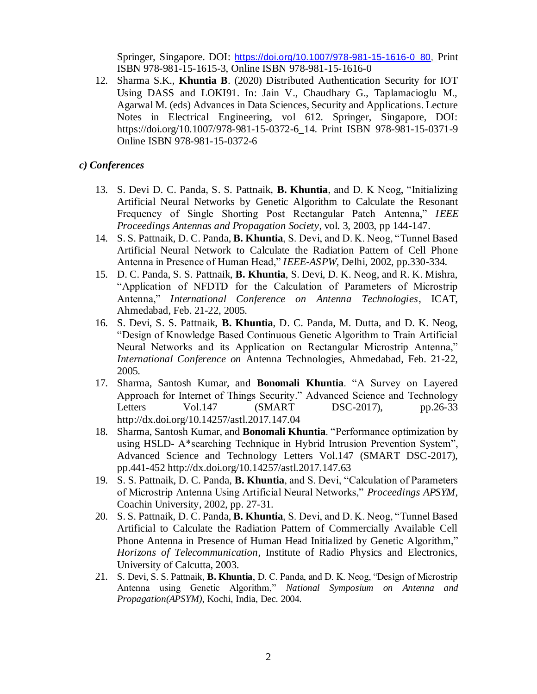Springer, Singapore. DOI: [https://doi.org/10.1007/978-981-15-1616-0\\_80,](https://doi.org/10.1007/978-981-15-1616-0_80) Print ISBN 978-981-15-1615-3, Online ISBN 978-981-15-1616-0

12. Sharma S.K., **Khuntia B**. (2020) Distributed Authentication Security for IOT Using DASS and LOKI91. In: Jain V., Chaudhary G., Taplamacioglu M., Agarwal M. (eds) Advances in Data Sciences, Security and Applications. Lecture Notes in Electrical Engineering, vol 612. Springer, Singapore, DOI: https://doi.org/10.1007/978-981-15-0372-6\_14. Print ISBN 978-981-15-0371-9 Online ISBN 978-981-15-0372-6

## *c) Conferences*

- 13. S. Devi D. C. Panda, S. S. Pattnaik, **B. Khuntia**, and D. K Neog, "Initializing Artificial Neural Networks by Genetic Algorithm to Calculate the Resonant Frequency of Single Shorting Post Rectangular Patch Antenna," *IEEE Proceedings Antennas and Propagation Society*, vol. 3, 2003, pp 144-147.
- 14. S. S. Pattnaik, D. C. Panda, **B. Khuntia**, S. Devi, and D. K. Neog, "Tunnel Based Artificial Neural Network to Calculate the Radiation Pattern of Cell Phone Antenna in Presence of Human Head," *IEEE-ASPW*, Delhi, 2002, pp.330-334.
- 15. D. C. Panda, S. S. Pattnaik, **B. Khuntia**, S. Devi, D. K. Neog, and R. K. Mishra, "Application of NFDTD for the Calculation of Parameters of Microstrip Antenna," *International Conference on Antenna Technologies*, ICAT, Ahmedabad, Feb. 21-22, 2005.
- 16. S. Devi, S. S. Pattnaik, **B. Khuntia**, D. C. Panda, M. Dutta, and D. K. Neog, "Design of Knowledge Based Continuous Genetic Algorithm to Train Artificial Neural Networks and its Application on Rectangular Microstrip Antenna," *International Conference on* Antenna Technologies, Ahmedabad, Feb. 21-22, 2005.
- 17. Sharma, Santosh Kumar, and **Bonomali Khuntia**. "A Survey on Layered Approach for Internet of Things Security." Advanced Science and Technology Letters Vol.147 (SMART DSC-2017), pp.26-33 <http://dx.doi.org/10.14257/astl.2017.147.04>
- 18. Sharma, Santosh Kumar, and **Bonomali Khuntia**. "Performance optimization by using HSLD- A\*searching Technique in Hybrid Intrusion Prevention System", Advanced Science and Technology Letters Vol.147 (SMART DSC-2017), pp.441-452<http://dx.doi.org/10.14257/astl.2017.147.63>
- 19. S. S. Pattnaik, D. C. Panda, **B. Khuntia**, and S. Devi, "Calculation of Parameters of Microstrip Antenna Using Artificial Neural Networks," *Proceedings APSYM*, Coachin University, 2002, pp. 27-31.
- 20. S. S. Pattnaik, D. C. Panda, **B. Khuntia**, S. Devi, and D. K. Neog, "Tunnel Based Artificial to Calculate the Radiation Pattern of Commercially Available Cell Phone Antenna in Presence of Human Head Initialized by Genetic Algorithm," *Horizons of Telecommunication*, Institute of Radio Physics and Electronics, University of Calcutta, 2003.
- 21. S. Devi, S. S. Pattnaik, **B. Khuntia**, D. C. Panda, and D. K. Neog, "Design of Microstrip Antenna using Genetic Algorithm," *National Symposium on Antenna and Propagation(APSYM)*, Kochi, India, Dec. 2004.